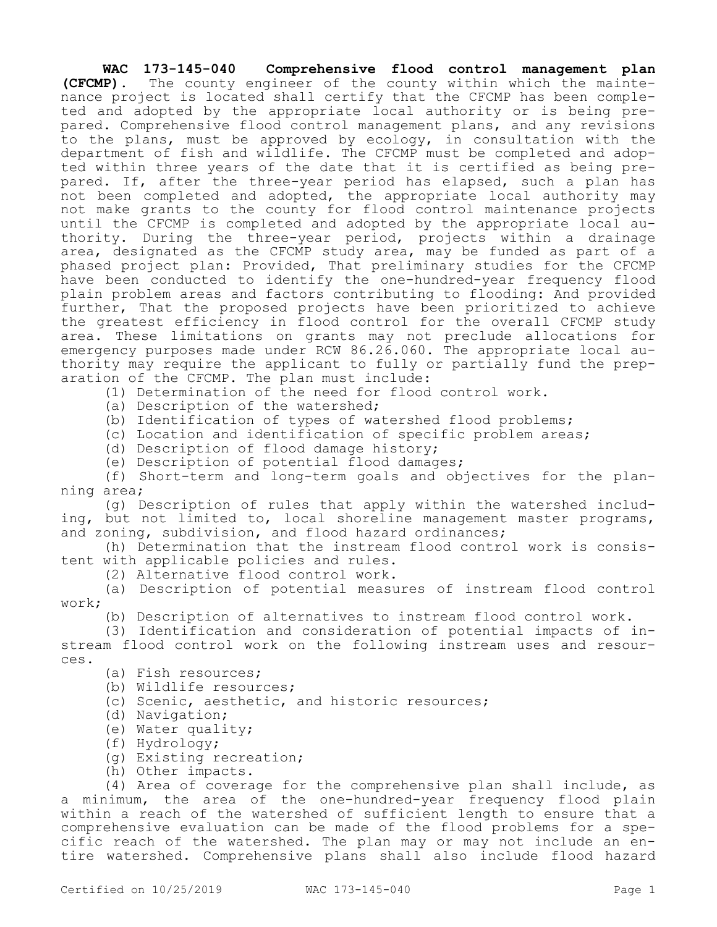**WAC 173-145-040 Comprehensive flood control management plan (CFCMP).** The county engineer of the county within which the maintenance project is located shall certify that the CFCMP has been completed and adopted by the appropriate local authority or is being prepared. Comprehensive flood control management plans, and any revisions to the plans, must be approved by ecology, in consultation with the department of fish and wildlife. The CFCMP must be completed and adopted within three years of the date that it is certified as being prepared. If, after the three-year period has elapsed, such a plan has not been completed and adopted, the appropriate local authority may not make grants to the county for flood control maintenance projects until the CFCMP is completed and adopted by the appropriate local authority. During the three-year period, projects within a drainage area, designated as the CFCMP study area, may be funded as part of a phased project plan: Provided, That preliminary studies for the CFCMP have been conducted to identify the one-hundred-year frequency flood plain problem areas and factors contributing to flooding: And provided further, That the proposed projects have been prioritized to achieve the greatest efficiency in flood control for the overall CFCMP study area. These limitations on grants may not preclude allocations for emergency purposes made under RCW 86.26.060. The appropriate local authority may require the applicant to fully or partially fund the preparation of the CFCMP. The plan must include:

(1) Determination of the need for flood control work.

- (a) Description of the watershed;
- (b) Identification of types of watershed flood problems;
- (c) Location and identification of specific problem areas;
- (d) Description of flood damage history;
- (e) Description of potential flood damages;

(f) Short-term and long-term goals and objectives for the planning area;

(g) Description of rules that apply within the watershed including, but not limited to, local shoreline management master programs, and zoning, subdivision, and flood hazard ordinances;

(h) Determination that the instream flood control work is consistent with applicable policies and rules.

(2) Alternative flood control work.

(a) Description of potential measures of instream flood control work;

(b) Description of alternatives to instream flood control work.

(3) Identification and consideration of potential impacts of instream flood control work on the following instream uses and resources.

- (a) Fish resources;
- (b) Wildlife resources;
- (c) Scenic, aesthetic, and historic resources;
- (d) Navigation;
- (e) Water quality;
- (f) Hydrology;
- (g) Existing recreation;
- (h) Other impacts.

(4) Area of coverage for the comprehensive plan shall include, as a minimum, the area of the one-hundred-year frequency flood plain within a reach of the watershed of sufficient length to ensure that a comprehensive evaluation can be made of the flood problems for a specific reach of the watershed. The plan may or may not include an entire watershed. Comprehensive plans shall also include flood hazard